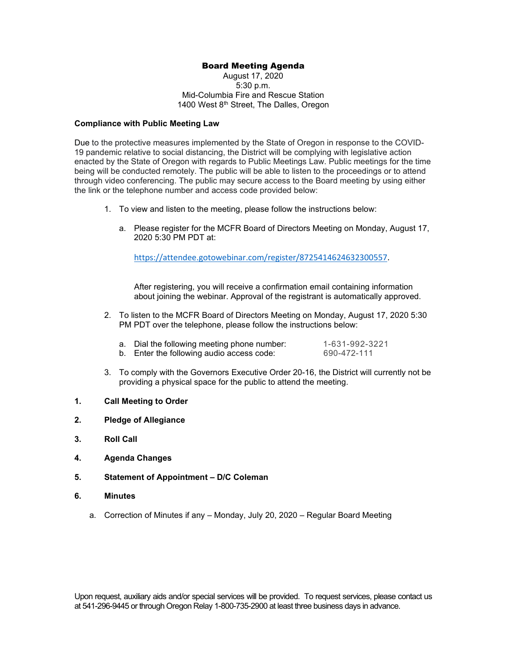## Board Meeting Agenda

August 17, 2020 5:30 p.m. Mid-Columbia Fire and Rescue Station 1400 West 8<sup>th</sup> Street, The Dalles, Oregon

#### **Compliance with Public Meeting Law**

Due to the protective measures implemented by the State of Oregon in response to the COVID-19 pandemic relative to social distancing, the District will be complying with legislative action enacted by the State of Oregon with regards to Public Meetings Law. Public meetings for the time being will be conducted remotely. The public will be able to listen to the proceedings or to attend through video conferencing. The public may secure access to the Board meeting by using either the link or the telephone number and access code provided below:

- 1. To view and listen to the meeting, please follow the instructions below:
	- a. Please register for the MCFR Board of Directors Meeting on Monday, August 17, 2020 5:30 PM PDT at:

[https://attendee.gotowebinar.com/register/8725414624632300557.](https://attendee.gotowebinar.com/register/8725414624632300557)

After registering, you will receive a confirmation email containing information about joining the webinar. Approval of the registrant is automatically approved.

2. To listen to the MCFR Board of Directors Meeting on Monday, August 17, 2020 5:30 PM PDT over the telephone, please follow the instructions below:

| a. Dial the following meeting phone number: | 1-631-992-3221 |
|---------------------------------------------|----------------|
| b. Enter the following audio access code:   | 690-472-111    |

- 3. To comply with the Governors Executive Order 20-16, the District will currently not be providing a physical space for the public to attend the meeting.
- **1. Call Meeting to Order**
- **2. Pledge of Allegiance**
- **3. Roll Call**
- **4. Agenda Changes**
- **5. Statement of Appointment – D/C Coleman**
- **6. Minutes** 
	- a. Correction of Minutes if any Monday, July 20, 2020 Regular Board Meeting

Upon request, auxiliary aids and/or special services will be provided. To request services, please contact us at 541-296-9445 or through Oregon Relay 1-800-735-2900 at least three business days in advance.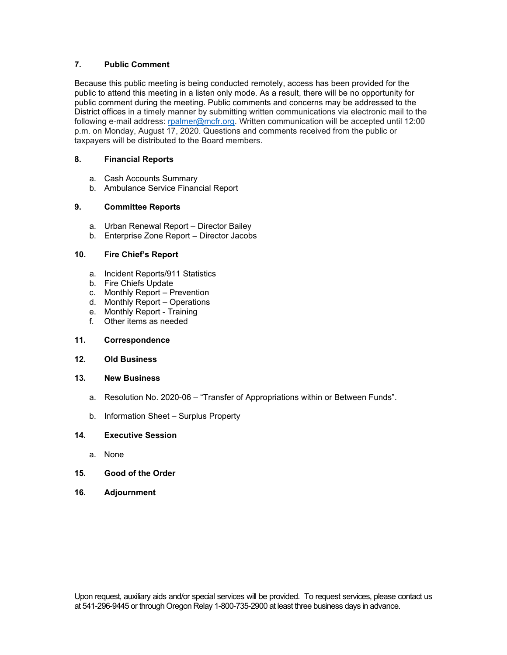## **7. Public Comment**

Because this public meeting is being conducted remotely, access has been provided for the public to attend this meeting in a listen only mode. As a result, there will be no opportunity for public comment during the meeting. Public comments and concerns may be addressed to the District offices in a timely manner by submitting written communications via electronic mail to the following e-mail address: [rpalmer@mcfr.org.](mailto:rpalmer@mcfr.org) Written communication will be accepted until 12:00 p.m. on Monday, August 17, 2020. Questions and comments received from the public or taxpayers will be distributed to the Board members.

### **8. Financial Reports**

- a. Cash Accounts Summary
- b. Ambulance Service Financial Report

#### **9. Committee Reports**

- a. Urban Renewal Report Director Bailey
- b. Enterprise Zone Report Director Jacobs

### **10. Fire Chief's Report**

- a. Incident Reports/911 Statistics
- b. Fire Chiefs Update
- c. Monthly Report Prevention
- d. Monthly Report Operations
- e. Monthly Report Training
- f. Other items as needed

#### **11. Correspondence**

#### **12. Old Business**

### **13. New Business**

- a. Resolution No. 2020-06 "Transfer of Appropriations within or Between Funds".
- b. Information Sheet Surplus Property

#### **14. Executive Session**

- a. None
- **15. Good of the Order**
- **16. Adjournment**